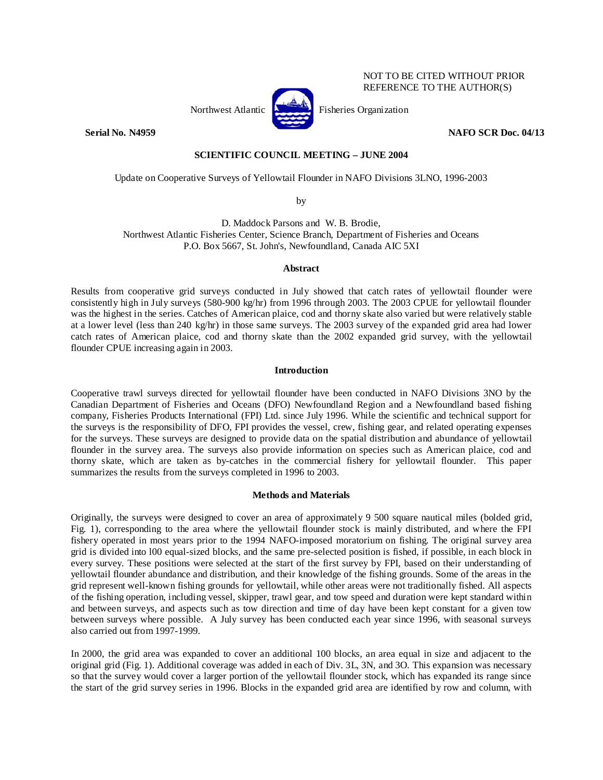

**Serial No. N4959 NAFO SCR Doc. 04/13** 

NOT TO BE CITED WITHOUT PRIOR REFERENCE TO THE AUTHOR(S)

## **SCIENTIFIC COUNCIL MEETING – JUNE 2004**

Update on Cooperative Surveys of Yellowtail Flounder in NAFO Divisions 3LNO, 1996-2003

by

D. Maddock Parsons and W. B. Brodie, Northwest Atlantic Fisheries Center, Science Branch, Department of Fisheries and Oceans P.O. Box 5667, St. John's, Newfoundland, Canada AIC 5XI

## **Abstract**

Results from cooperative grid surveys conducted in July showed that catch rates of yellowtail flounder were consistently high in July surveys (580-900 kg/hr) from 1996 through 2003. The 2003 CPUE for yellowtail flounder was the highest in the series. Catches of American plaice, cod and thorny skate also varied but were relatively stable at a lower level (less than 240 kg/hr) in those same surveys. The 2003 survey of the expanded grid area had lower catch rates of American plaice, cod and thorny skate than the 2002 expanded grid survey, with the yellowtail flounder CPUE increasing again in 2003.

## **Introduction**

Cooperative trawl surveys directed for yellowtail flounder have been conducted in NAFO Divisions 3NO by the Canadian Department of Fisheries and Oceans (DFO) Newfoundland Region and a Newfoundland based fishing company, Fisheries Products International (FPI) Ltd. since July 1996. While the scientific and technical support for the surveys is the responsibility of DFO, FPI provides the vessel, crew, fishing gear, and related operating expenses for the surveys. These surveys are designed to provide data on the spatial distribution and abundance of yellowtail flounder in the survey area. The surveys also provide information on species such as American plaice, cod and thorny skate, which are taken as by-catches in the commercial fishery for yellowtail flounder. This paper summarizes the results from the surveys completed in 1996 to 2003.

## **Methods and Materials**

Originally, the surveys were designed to cover an area of approximately 9 500 square nautical miles (bolded grid, Fig. 1), corresponding to the area where the yellowtail flounder stock is mainly distributed, and where the FPI fishery operated in most years prior to the 1994 NAFO-imposed moratorium on fishing. The original survey area grid is divided into l00 equal-sized blocks, and the same pre-selected position is fished, if possible, in each block in every survey. These positions were selected at the start of the first survey by FPI, based on their understanding of yellowtail flounder abundance and distribution, and their knowledge of the fishing grounds. Some of the areas in the grid represent well-known fishing grounds for yellowtail, while other areas were not traditionally fished. All aspects of the fishing operation, including vessel, skipper, trawl gear, and tow speed and duration were kept standard within and between surveys, and aspects such as tow direction and time of day have been kept constant for a given tow between surveys where possible. A July survey has been conducted each year since 1996, with seasonal surveys also carried out from 1997-1999.

In 2000, the grid area was expanded to cover an additional 100 blocks, an area equal in size and adjacent to the original grid (Fig. 1). Additional coverage was added in each of Div. 3L, 3N, and 3O. This expansion was necessary so that the survey would cover a larger portion of the yellowtail flounder stock, which has expanded its range since the start of the grid survey series in 1996. Blocks in the expanded grid area are identified by row and column, with

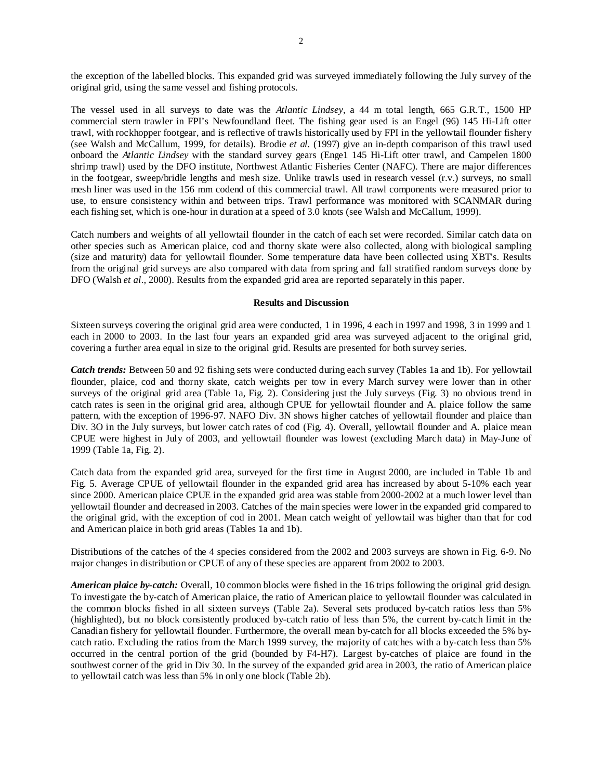the exception of the labelled blocks. This expanded grid was surveyed immediately following the July survey of the original grid, using the same vessel and fishing protocols.

The vessel used in all surveys to date was the *Atlantic Lindsey*, a 44 m total length, 665 G.R.T., 1500 HP commercial stern trawler in FPI's Newfoundland fleet. The fishing gear used is an Engel (96) 145 Hi-Lift otter trawl, with rockhopper footgear, and is reflective of trawls historically used by FPI in the yellowtail flounder fishery (see Walsh and McCallum, 1999, for details). Brodie *et al.* (1997) give an in-depth comparison of this trawl used onboard the *Atlantic Lindsey* with the standard survey gears (Enge1 145 Hi-Lift otter trawl, and Campelen 1800 shrimp trawl) used by the DFO institute, Northwest Atlantic Fisheries Center (NAFC). There are major differences in the footgear, sweep/bridle lengths and mesh size. Unlike trawls used in research vessel (r.v.) surveys, no small mesh liner was used in the 156 mm codend of this commercial trawl. All trawl components were measured prior to use, to ensure consistency within and between trips. Trawl performance was monitored with SCANMAR during each fishing set, which is one-hour in duration at a speed of 3.0 knots (see Walsh and McCallum, 1999).

Catch numbers and weights of all yellowtail flounder in the catch of each set were recorded. Similar catch data on other species such as American plaice, cod and thorny skate were also collected, along with biological sampling (size and maturity) data for yellowtail flounder. Some temperature data have been collected using XBT's. Results from the original grid surveys are also compared with data from spring and fall stratified random surveys done by DFO (Walsh *et al*., 2000). Results from the expanded grid area are reported separately in this paper.

## **Results and Discussion**

Sixteen surveys covering the original grid area were conducted, 1 in 1996, 4 each in 1997 and 1998, 3 in 1999 and 1 each in 2000 to 2003. In the last four years an expanded grid area was surveyed adjacent to the original grid, covering a further area equal in size to the original grid. Results are presented for both survey series.

*Catch trends:* Between 50 and 92 fishing sets were conducted during each survey (Tables 1a and 1b). For yellowtail flounder, plaice, cod and thorny skate, catch weights per tow in every March survey were lower than in other surveys of the original grid area (Table 1a, Fig. 2). Considering just the July surveys (Fig. 3) no obvious trend in catch rates is seen in the original grid area, although CPUE for yellowtail flounder and A. plaice follow the same pattern, with the exception of 1996-97. NAFO Div. 3N shows higher catches of yellowtail flounder and plaice than Div. 3O in the July surveys, but lower catch rates of cod (Fig. 4). Overall, yellowtail flounder and A. plaice mean CPUE were highest in July of 2003, and yellowtail flounder was lowest (excluding March data) in May-June of 1999 (Table 1a, Fig. 2).

Catch data from the expanded grid area, surveyed for the first time in August 2000, are included in Table 1b and Fig. 5. Average CPUE of yellowtail flounder in the expanded grid area has increased by about 5-10% each year since 2000. American plaice CPUE in the expanded grid area was stable from 2000-2002 at a much lower level than yellowtail flounder and decreased in 2003. Catches of the main species were lower in the expanded grid compared to the original grid, with the exception of cod in 2001. Mean catch weight of yellowtail was higher than that for cod and American plaice in both grid areas (Tables 1a and 1b).

Distributions of the catches of the 4 species considered from the 2002 and 2003 surveys are shown in Fig. 6-9. No major changes in distribution or CPUE of any of these species are apparent from 2002 to 2003.

*American plaice by-catch:* Overall, 10 common blocks were fished in the 16 trips following the original grid design. To investigate the by-catch of American plaice, the ratio of American plaice to yellowtail flounder was calculated in the common blocks fished in all sixteen surveys (Table 2a). Several sets produced by-catch ratios less than 5% (highlighted), but no block consistently produced by-catch ratio of less than 5%, the current by-catch limit in the Canadian fishery for yellowtail flounder. Furthermore, the overall mean by-catch for all blocks exceeded the 5% bycatch ratio. Excluding the ratios from the March 1999 survey, the majority of catches with a by-catch less than 5% occurred in the central portion of the grid (bounded by F4-H7). Largest by-catches of plaice are found in the southwest corner of the grid in Div 30. In the survey of the expanded grid area in 2003, the ratio of American plaice to yellowtail catch was less than 5% in only one block (Table 2b).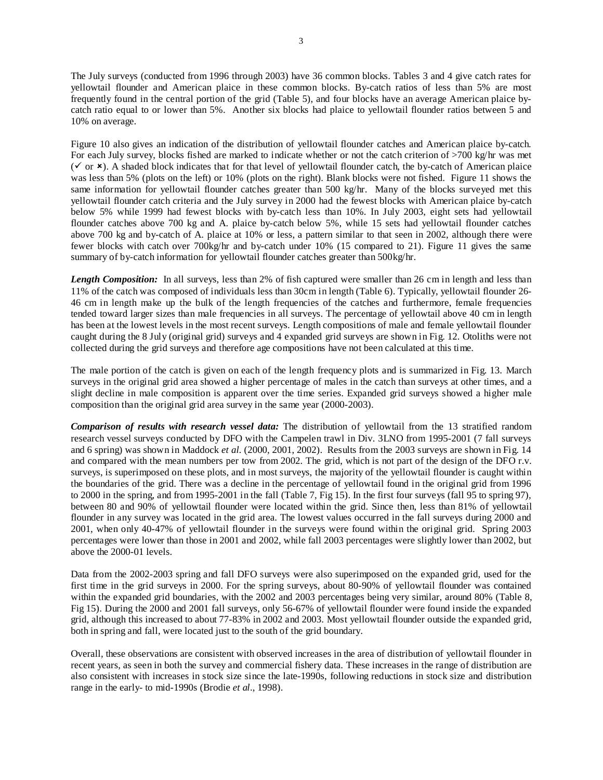The July surveys (conducted from 1996 through 2003) have 36 common blocks. Tables 3 and 4 give catch rates for yellowtail flounder and American plaice in these common blocks. By-catch ratios of less than 5% are most frequently found in the central portion of the grid (Table 5), and four blocks have an average American plaice bycatch ratio equal to or lower than 5%. Another six blocks had plaice to yellowtail flounder ratios between 5 and 10% on average.

Figure 10 also gives an indication of the distribution of yellowtail flounder catches and American plaice by-catch. For each July survey, blocks fished are marked to indicate whether or not the catch criterion of >700 kg/hr was met  $(\checkmark)$  or  $\checkmark$ ). A shaded block indicates that for that level of yellowtail flounder catch, the by-catch of American plaice was less than 5% (plots on the left) or 10% (plots on the right). Blank blocks were not fished. Figure 11 shows the same information for yellowtail flounder catches greater than 500 kg/hr. Many of the blocks surveyed met this yellowtail flounder catch criteria and the July survey in 2000 had the fewest blocks with American plaice by-catch below 5% while 1999 had fewest blocks with by-catch less than 10%. In July 2003, eight sets had yellowtail flounder catches above 700 kg and A. plaice by-catch below 5%, while 15 sets had yellowtail flounder catches above 700 kg and by-catch of A. plaice at 10% or less, a pattern similar to that seen in 2002, although there were fewer blocks with catch over 700kg/hr and by-catch under 10% (15 compared to 21). Figure 11 gives the same summary of by-catch information for yellowtail flounder catches greater than 500kg/hr.

*Length Composition:* In all surveys, less than 2% of fish captured were smaller than 26 cm in length and less than 11% of the catch was composed of individuals less than 30cm in length (Table 6). Typically, yellowtail flounder 26- 46 cm in length make up the bulk of the length frequencies of the catches and furthermore, female frequencies tended toward larger sizes than male frequencies in all surveys. The percentage of yellowtail above 40 cm in length has been at the lowest levels in the most recent surveys. Length compositions of male and female yellowtail flounder caught during the 8 July (original grid) surveys and 4 expanded grid surveys are shown in Fig. 12. Otoliths were not collected during the grid surveys and therefore age compositions have not been calculated at this time.

The male portion of the catch is given on each of the length frequency plots and is summarized in Fig. 13. March surveys in the original grid area showed a higher percentage of males in the catch than surveys at other times, and a slight decline in male composition is apparent over the time series. Expanded grid surveys showed a higher male composition than the original grid area survey in the same year (2000-2003).

*Comparison of results with research vessel data:* The distribution of yellowtail from the 13 stratified random research vessel surveys conducted by DFO with the Campelen trawl in Div. 3LNO from 1995-2001 (7 fall surveys and 6 spring) was shown in Maddock *et al.* (2000, 2001, 2002). Results from the 2003 surveys are shown in Fig. 14 and compared with the mean numbers per tow from 2002. The grid, which is not part of the design of the DFO r.v. surveys, is superimposed on these plots, and in most surveys, the majority of the yellowtail flounder is caught within the boundaries of the grid. There was a decline in the percentage of yellowtail found in the original grid from 1996 to 2000 in the spring, and from 1995-2001 in the fall (Table 7, Fig 15). In the first four surveys (fall 95 to spring 97), between 80 and 90% of yellowtail flounder were located within the grid. Since then, less than 81% of yellowtail flounder in any survey was located in the grid area. The lowest values occurred in the fall surveys during 2000 and 2001, when only 40-47% of yellowtail flounder in the surveys were found within the original grid. Spring 2003 percentages were lower than those in 2001 and 2002, while fall 2003 percentages were slightly lower than 2002, but above the 2000-01 levels.

Data from the 2002-2003 spring and fall DFO surveys were also superimposed on the expanded grid, used for the first time in the grid surveys in 2000. For the spring surveys, about 80-90% of yellowtail flounder was contained within the expanded grid boundaries, with the 2002 and 2003 percentages being very similar, around 80% (Table 8, Fig 15). During the 2000 and 2001 fall surveys, only 56-67% of yellowtail flounder were found inside the expanded grid, although this increased to about 77-83% in 2002 and 2003. Most yellowtail flounder outside the expanded grid, both in spring and fall, were located just to the south of the grid boundary.

Overall, these observations are consistent with observed increases in the area of distribution of yellowtail flounder in recent years, as seen in both the survey and commercial fishery data. These increases in the range of distribution are also consistent with increases in stock size since the late-1990s, following reductions in stock size and distribution range in the early- to mid-1990s (Brodie *et al*., 1998).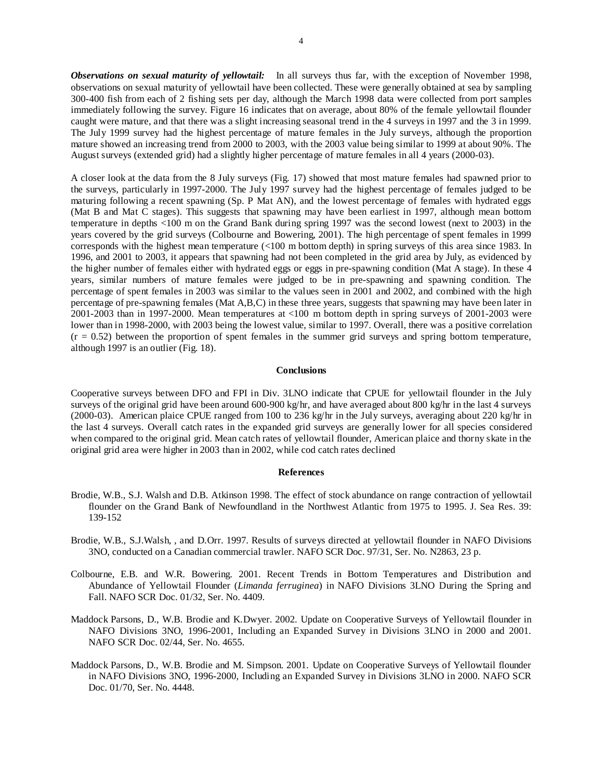*Observations on sexual maturity of yellowtail:* In all surveys thus far, with the exception of November 1998, observations on sexual maturity of yellowtail have been collected. These were generally obtained at sea by sampling 300-400 fish from each of 2 fishing sets per day, although the March 1998 data were collected from port samples immediately following the survey. Figure 16 indicates that on average, about 80% of the female yellowtail flounder caught were mature, and that there was a slight increasing seasonal trend in the 4 surveys in 1997 and the 3 in 1999. The July 1999 survey had the highest percentage of mature females in the July surveys, although the proportion mature showed an increasing trend from 2000 to 2003, with the 2003 value being similar to 1999 at about 90%. The August surveys (extended grid) had a slightly higher percentage of mature females in all 4 years (2000-03).

A closer look at the data from the 8 July surveys (Fig. 17) showed that most mature females had spawned prior to the surveys, particularly in 1997-2000. The July 1997 survey had the highest percentage of females judged to be maturing following a recent spawning (Sp. P Mat AN), and the lowest percentage of females with hydrated eggs (Mat B and Mat C stages). This suggests that spawning may have been earliest in 1997, although mean bottom temperature in depths <100 m on the Grand Bank during spring 1997 was the second lowest (next to 2003) in the years covered by the grid surveys (Colbourne and Bowering, 2001). The high percentage of spent females in 1999 corresponds with the highest mean temperature (<100 m bottom depth) in spring surveys of this area since 1983. In 1996, and 2001 to 2003, it appears that spawning had not been completed in the grid area by July, as evidenced by the higher number of females either with hydrated eggs or eggs in pre-spawning condition (Mat A stage). In these 4 years, similar numbers of mature females were judged to be in pre-spawning and spawning condition. The percentage of spent females in 2003 was similar to the values seen in 2001 and 2002, and combined with the high percentage of pre-spawning females (Mat A,B,C) in these three years, suggests that spawning may have been later in 2001-2003 than in 1997-2000. Mean temperatures at <100 m bottom depth in spring surveys of 2001-2003 were lower than in 1998-2000, with 2003 being the lowest value, similar to 1997. Overall, there was a positive correlation  $(r = 0.52)$  between the proportion of spent females in the summer grid surveys and spring bottom temperature, although 1997 is an outlier (Fig. 18).

#### **Conclusions**

Cooperative surveys between DFO and FPI in Div. 3LNO indicate that CPUE for yellowtail flounder in the July surveys of the original grid have been around 600-900 kg/hr, and have averaged about 800 kg/hr in the last 4 surveys (2000-03). American plaice CPUE ranged from 100 to 236 kg/hr in the July surveys, averaging about 220 kg/hr in the last 4 surveys. Overall catch rates in the expanded grid surveys are generally lower for all species considered when compared to the original grid. Mean catch rates of yellowtail flounder, American plaice and thorny skate in the original grid area were higher in 2003 than in 2002, while cod catch rates declined

### **References**

- Brodie, W.B., S.J. Walsh and D.B. Atkinson 1998. The effect of stock abundance on range contraction of yellowtail flounder on the Grand Bank of Newfoundland in the Northwest Atlantic from 1975 to 1995. J. Sea Res. 39: 139-152
- Brodie, W.B., S.J.Walsh, , and D.Orr. 1997. Results of surveys directed at yellowtail flounder in NAFO Divisions 3NO, conducted on a Canadian commercial trawler. NAFO SCR Doc. 97/31, Ser. No. N2863, 23 p.
- Colbourne, E.B. and W.R. Bowering. 2001. Recent Trends in Bottom Temperatures and Distribution and Abundance of Yellowtail Flounder (*Limanda ferruginea*) in NAFO Divisions 3LNO During the Spring and Fall. NAFO SCR Doc. 01/32, Ser. No. 4409.
- Maddock Parsons, D., W.B. Brodie and K.Dwyer. 2002. Update on Cooperative Surveys of Yellowtail flounder in NAFO Divisions 3NO, 1996-2001, Including an Expanded Survey in Divisions 3LNO in 2000 and 2001. NAFO SCR Doc. 02/44, Ser. No. 4655.
- Maddock Parsons, D., W.B. Brodie and M. Simpson. 2001. Update on Cooperative Surveys of Yellowtail flounder in NAFO Divisions 3NO, 1996-2000, Including an Expanded Survey in Divisions 3LNO in 2000. NAFO SCR Doc. 01/70, Ser. No. 4448.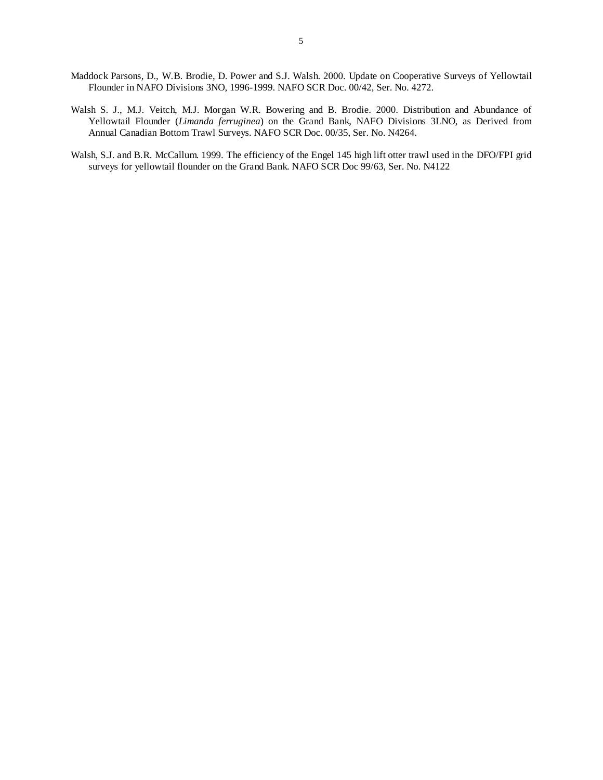- Maddock Parsons, D., W.B. Brodie, D. Power and S.J. Walsh. 2000. Update on Cooperative Surveys of Yellowtail Flounder in NAFO Divisions 3NO, 1996-1999. NAFO SCR Doc. 00/42, Ser. No. 4272.
- Walsh S. J., M.J. Veitch, M.J. Morgan W.R. Bowering and B. Brodie. 2000. Distribution and Abundance of Yellowtail Flounder (*Limanda ferruginea*) on the Grand Bank, NAFO Divisions 3LNO, as Derived from Annual Canadian Bottom Trawl Surveys. NAFO SCR Doc. 00/35, Ser. No. N4264.
- Walsh, S.J. and B.R. McCallum. 1999. The efficiency of the Engel 145 high lift otter trawl used in the DFO/FPI grid surveys for yellowtail flounder on the Grand Bank. NAFO SCR Doc 99/63, Ser. No. N4122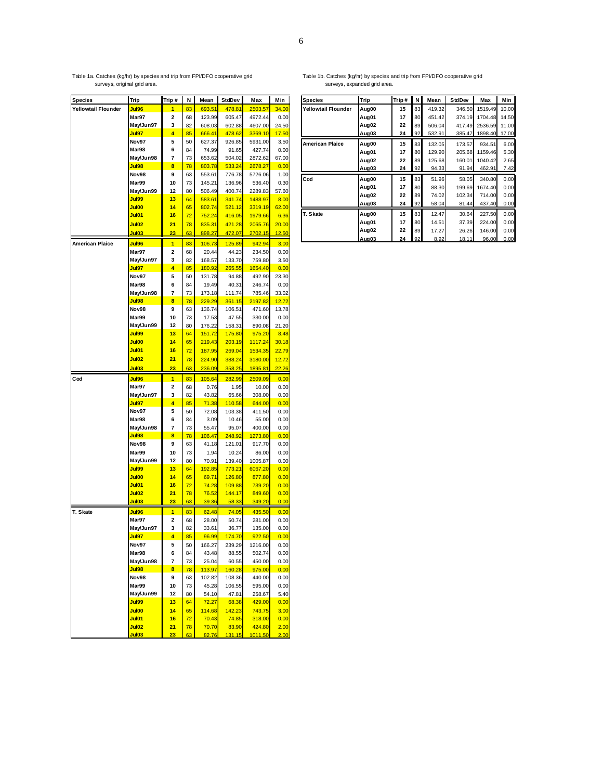# Table 1a. Catches (kg/hr) by species and trip from FPI/DFO cooperative grid surveys, original grid area.

| <b>Species</b>         | <b>Trip</b>        | Trip #                       | N        | Mean             | StdDev           | Max                | Min           |
|------------------------|--------------------|------------------------------|----------|------------------|------------------|--------------------|---------------|
| Yellowtail Flounder    | Jul96              | 1                            | 83       | 693.51           | 478.81           | 2503.57            | 34.00         |
|                        | Mar97              | 2                            | 68       | 123.99           | 605.47           | 4972.44            | 0.00          |
|                        | May/Jun97          | 3                            | 82       | 608.03           | 602.88           | 4607.00            | 24.50         |
|                        | Jul97              | 4                            | 85       | 666.41           | 478.62           | 3369.10            | 17.50         |
|                        | Nov97              | 5                            | 50       | 627.37           | 926.85           | 5931.00            | 3.50          |
|                        | Mar98              | 6                            | 84       | 74.99            | 91.65            | 427.74             | 0.00          |
|                        | May/Jun98          | 7                            | 73       | 653.62           | 504.02           | 2872.62            | 67.00         |
|                        | Jul98              | 8                            | 78       | 803.78           | 533.24           | 2678.27            | 0.00          |
|                        | Nov98<br>Mar99     | 9                            | 63       | 553.61           | 776.78           | 5726.06            | 1.00          |
|                        |                    | 10                           | 73       | 145.21           | 136.96           | 536.40             | 0.30<br>57.60 |
|                        | May/Jun99<br>Jul99 | 12<br>13                     | 80<br>64 | 506.49<br>583.61 | 400.74<br>341.74 | 2289.83<br>1488.97 | 8.00          |
|                        | Jul00              | 14                           | 65       | 802.74           | 521.12           | 3319.19            | 62.00         |
|                        | Jul01              | 16                           | 72       | 752.24           | 416.05           | 1979.66            | 6.36          |
|                        | Jul02              | 21                           | 78       | 835.31           | 421.28           | 2065.76            | 20.00         |
|                        | Jul03              | 23                           | 63       | 898.27           | 472.07           | 2702.15            | 12.50         |
|                        |                    |                              |          |                  |                  |                    |               |
| <b>American Plaice</b> | Jul96              | $\mathbf{1}$                 | 83       | 106.73           | 125.89           | 942.94             | 3.00          |
|                        | Mar97<br>May/Jun97 | $\overline{\mathbf{2}}$<br>3 | 68       | 20.44            | 44.23            | 234.50             | 0.00          |
|                        | Jul97              | 4                            | 82<br>85 | 168.57<br>180.92 | 133.70<br>265.55 | 759.80<br>1654.40  | 3.50<br>0.00  |
|                        | Nov97              | 5                            | 50       | 131.78           | 94.88            | 492.90             | 23.30         |
|                        | Mar98              | 6                            | 84       | 19.49            | 40.31            | 246.74             | 0.00          |
|                        | May/Jun98          | 7                            | 73       | 173.18           | 111.74           | 785.46             | 33.02         |
|                        | Jul98              | 8                            | 78       | 229.29           | 361.15           | 2197.82            | 12.72         |
|                        | Nov98              | 9                            | 63       | 136.74           | 106.51           | 471.60             | 13.78         |
|                        | Mar99              | 10                           | 73       | 17.53            | 47.55            | 330.00             | 0.00          |
|                        | May/Jun99          | 12                           | 80       | 176.22           | 158.31           | 890.08             | 21.20         |
|                        | Jul99              | 13                           | 64       | 151.72           | 175.80           | 975.20             | 8.48          |
|                        | Jul00              | 14                           | 65       | 219.43           | 203.19           | 1117.24            | 30.18         |
|                        | Jul01              | 16                           | 72       | 187.95           | 269.04           | 1534.35            | 22.79         |
|                        | Jul02              | 21                           | 78       | 224.90           | 388.24           | 3180.00            | 12.72         |
|                        | Jul03              | 23                           | 63       | 236.09           | 358.25           | 1895.81            | 22.26         |
| Cod                    | Jul96              | $\blacksquare$               | 83       | 105.64           | 282.99           | 2509.09            | 0.00          |
|                        | Mar97              | 2                            | 68       | 0.76             | 1.95             | 10.00              | 0.00          |
|                        | May/Jun97          | 3                            | 82       | 43.82            | 65.66            | 308.00             | 0.00          |
|                        | Jul97              | 4                            | 85       | 71.38            | 110.58           | 644.00             | 0.00          |
|                        | Nov97              | 5                            | 50       | 72.08            | 103.38           | 411.50             | 0.00          |
|                        | Mar98              | 6                            | 84       | 3.09             | 10.46<br>95.07   | 55.00              | 0.00          |
|                        | May/Jun98<br>Jul98 | 7<br>8                       | 73<br>78 | 55.47<br>106.47  | 248.92           | 400.00<br>1273.80  | 0.00<br>0.00  |
|                        | Nov98              | 9                            | 63       | 41.18            | 121.01           | 917.70             | 0.00          |
|                        | Mar99              | 10                           | 73       | 1.94             | 10.24            | 86.00              | 0.00          |
|                        | May/Jun99          | 12                           | 80       | 70.91            | 139.40           | 1005.87            | 0.00          |
|                        | Jul99              | 13                           | 64       | 192.85           | 773.21           | 6067.20            | 0.00          |
|                        | Jul00              | 14                           | 65       | 69.71            | 126.80           | 877.80             | 0.00          |
|                        | Jul01              | 16                           | 72       | 74.28            | 109.88           | 739.20             | 0.00          |
|                        | Jul02              | 21                           | 78       | 76.52            | 144.17           | 849.60             | 0.00          |
|                        | Jul03              | 23                           | 63       | 39.36            | 58.33            | 349.20             | 0.00          |
| T. Skate               | <b>Jul96</b>       | $\blacksquare$               | 83       | 62.48            | 74.05            | 435.50             | 0.00          |
|                        | Mar97              | 2                            | 68       | 28.00            | 50.74            | 281.00             | 0.00          |
|                        | May/Jun97          | 3                            | 82       | 33.61            | 36.77            | 135.00             | 0.00          |
|                        | Jul97              |                              | 85       | 96.99            | 174.70           | 922.50             | 0.00          |
|                        | Nov97              | 5                            | 50       | 166.27           | 239.29           | 1216.00            | 0.00          |
|                        | Mar98              | 6                            | 84       | 43.48            | 88.55            | 502.74             | 0.00          |
|                        | May/Jun98          | 7                            | 73       | 25.04            | 60.55            | 450.00             | 0.00          |
|                        | Jul98<br>Nov98     | 8<br>9                       | 78<br>63 | 113.97           | 160.28           | 975.00             | 0.00          |
|                        | Mar99              | 10                           | 73       | 102.82<br>45.28  | 108.36<br>106.55 | 440.00<br>595.00   | 0.00<br>0.00  |
|                        | May/Jun99          | 12                           | 80       | 54.10            | 47.81            | 258.67             | 5.40          |
|                        | Jul99              | 13                           | 64       | 72.27            | 68.38            | 429.00             | 0.00          |
|                        | Jul00              | 14                           | 65       | 114.68           | 142.23           | 743.75             | 3.00          |
|                        | Jul01              | 16                           | 72       | 70.43            | 74.85            | 318.00             | 0.00          |
|                        | Jul02              | 21                           | 78       | 70.70            | 83.90            | 424.80             | 2.00          |
|                        | Jul03              | 23                           | 63       | 82.76            | 131.15           | 1011.50            | 2.00          |

#### Table 1b. Catches (kg/hr) by species and trip from FPI/DFO cooperative grid surveys, expanded grid area.

| <b>Species</b>             | Trip  | Trip# | N  | Mean   | <b>StdDev</b> | Max     | Min   |
|----------------------------|-------|-------|----|--------|---------------|---------|-------|
| <b>Yellowtail Flounder</b> | Aug00 | 15    | 83 | 419.32 | 346.50        | 1519.49 | 10.00 |
|                            | Aug01 | 17    | 80 | 451.42 | 374.19        | 1704.48 | 14.50 |
|                            | Aug02 | 22    | 89 | 506.04 | 417.49        | 2536.59 | 11.00 |
|                            | Aug03 | 24    | 92 | 532.91 | 385.47        | 1898.40 | 17.00 |
| <b>American Plaice</b>     | Aug00 | 15    | 83 | 132.05 | 173.57        | 934.51  | 6.00  |
|                            | Aug01 | 17    | 80 | 129.90 | 205.68        | 1159.46 | 5.30  |
|                            | Aug02 | 22    | 89 | 125.68 | 160.01        | 1040.42 | 2.65  |
|                            | Aug03 | 24    | 92 | 94.33  | 91.94         | 462.91  | 7.42  |
| Cod                        | Aug00 | 15    | 83 | 51.96  | 58.05         | 340.80  | 0.00  |
|                            | Aug01 | 17    | 80 | 88.30  | 199.69        | 1674.40 | 0.00  |
|                            | Aug02 | 22    | 89 | 74.02  | 102.34        | 714.00  | 0.00  |
|                            | Aug03 | 24    | 92 | 58.04  | 81.44         | 437.40  | 0.00  |
| T. Skate                   | Aug00 | 15    | 83 | 12.47  | 30.64         | 227.50  | 0.00  |
|                            | Aug01 | 17    | 80 | 14.51  | 37.39         | 224.00  | 0.00  |
|                            | Aug02 | 22    | 89 | 17.27  | 26.26         | 146.00  | 0.00  |
|                            | Aug03 | 24    | 92 | 8.92   | 18.11         | 96.00   | 0.00  |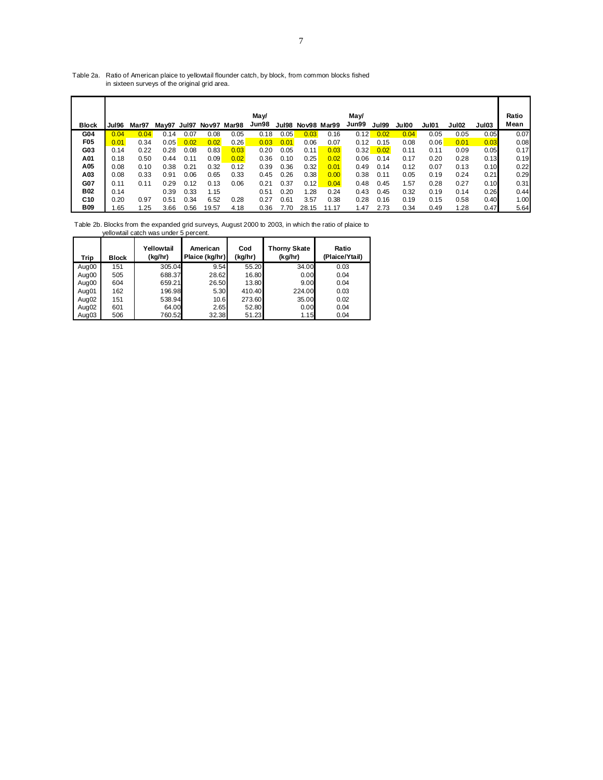### Table 2a. Ratio of American plaice to yellowtail flounder catch, by block, from common blocks fished in sixteen surveys of the original grid area.

| <b>Block</b>    | Jul96 | Mar97 |      |      | May97 Jul97 Nov97 Mar98 |      | May/<br>Jun98 | Jul98 | Nov98 Mar99 |       | May/<br>Jun99 | Jul99 | Jul00 | Jul01 | Jul02 | Jul03 | Ratio<br>Mean |
|-----------------|-------|-------|------|------|-------------------------|------|---------------|-------|-------------|-------|---------------|-------|-------|-------|-------|-------|---------------|
| G04             | 0.04  | 0.04  | 0.14 | 0.07 | 0.08                    | 0.05 | 0.18          | 0.05  | 0.03        | 0.16  | 0.12          | 0.02  | 0.04  | 0.05  | 0.05  | 0.05  | 0.07          |
| F <sub>05</sub> | 0.01  | 0.34  | 0.05 | 0.02 | 0.02                    | 0.26 | 0.03          | 0.01  | 0.06        | 0.07  | 0.12          | 0.15  | 0.08  | 0.06  | 0.01  | 0.03  | 0.08          |
| G03             | 0.14  | 0.22  | 0.28 | 0.08 | 0.83                    | 0.03 | 0.20          | 0.05  | 0.11        | 0.03  | 0.32          | 0.02  | 0.11  | 0.11  | 0.09  | 0.05  | 0.17          |
| A01             | 0.18  | 0.50  | 0.44 | 0.11 | 0.09                    | 0.02 | 0.36          | 0.10  | 0.25        | 0.02  | 0.06          | 0.14  | 0.17  | 0.20  | 0.28  | 0.13  | 0.19          |
| A05             | 0.08  | 0.10  | 0.38 | 0.21 | 0.32                    | 0.12 | 0.39          | 0.36  | 0.32        | 0.01  | 0.49          | 0.14  | 0.12  | 0.07  | 0.13  | 0.10  | 0.22          |
| A03             | 0.08  | 0.33  | 0.91 | 0.06 | 0.65                    | 0.33 | 0.45          | 0.26  | 0.38        | 0.00  | 0.38          | 0.11  | 0.05  | 0.19  | 0.24  | 0.21  | 0.29          |
| G07             | 0.11  | 0.11  | 0.29 | 0.12 | 0.13                    | 0.06 | 0.21          | 0.37  | 0.12        | 0.04  | 0.48          | 0.45  | 1.57  | 0.28  | 0.27  | 0.10  | 0.31          |
| B02             | 0.14  |       | 0.39 | 0.33 | 1.15                    |      | 0.51          | 0.20  | 1.28        | 0.24  | 0.43          | 0.45  | 0.32  | 0.19  | 0.14  | 0.26  | 0.44          |
| C <sub>10</sub> | 0.20  | 0.97  | 0.51 | 0.34 | 6.52                    | 0.28 | 0.27          | 0.61  | 3.57        | 0.38  | 0.28          | 0.16  | 0.19  | 0.15  | 0.58  | 0.40  | 1.00          |
| B09             | 1.65  | 1.25  | 3.66 | 0.56 | 19.57                   | 4.18 | 0.36          | 7.70  | 28.15       | 11.17 | .47           | 2.73  | 0.34  | 0.49  | 1.28  | 0.47  | 5.64          |

Table 2b. Blocks from the expanded grid surveys, August 2000 to 2003, in which the ratio of plaice to yellowtail catch was under 5 percent.

| Trip  | <b>Block</b> | Yellowtail<br>(kg/hr) | American<br>Plaice (kg/hr) | Cod<br>(kg/hr) | <b>Thorny Skate</b><br>(kg/hr) | Ratio<br>(Plaice/Ytail) |
|-------|--------------|-----------------------|----------------------------|----------------|--------------------------------|-------------------------|
| Aug00 | 151          | 305.04                | 9.54                       | 55.20          | 34.00                          | 0.03                    |
| Aug00 | 505          | 688.37                | 28.62                      | 16.80          | 0.00                           | 0.04                    |
| Aug00 | 604          | 659.21                | 26.50                      | 13.80          | 9.00                           | 0.04                    |
| Aug01 | 162          | 196.98                | 5.30                       | 410.40         | 224.00                         | 0.03                    |
| Aug02 | 151          | 538.94                | 10.6                       | 273.60         | 35.00                          | 0.02                    |
| Aug02 | 601          | 64.00                 | 2.65                       | 52.80          | 0.00                           | 0.04                    |
| Aug03 | 506          | 760.52                | 32.38                      | 51.23          | 1.15                           | 0.04                    |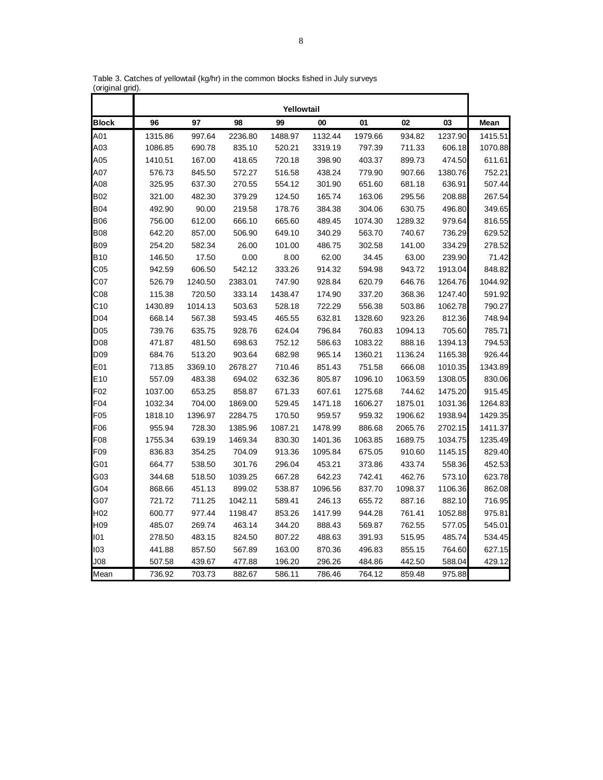|                 |         |         |         | Yellowtail |         |         |         |         |         |
|-----------------|---------|---------|---------|------------|---------|---------|---------|---------|---------|
| <b>Block</b>    | 96      | 97      | 98      | 99         | 00      | 01      | 02      | 03      | Mean    |
| A01             | 1315.86 | 997.64  | 2236.80 | 1488.97    | 1132.44 | 1979.66 | 934.82  | 1237.90 | 1415.51 |
| A03             | 1086.85 | 690.78  | 835.10  | 520.21     | 3319.19 | 797.39  | 711.33  | 606.18  | 1070.88 |
| A05             | 1410.51 | 167.00  | 418.65  | 720.18     | 398.90  | 403.37  | 899.73  | 474.50  | 611.61  |
| A07             | 576.73  | 845.50  | 572.27  | 516.58     | 438.24  | 779.90  | 907.66  | 1380.76 | 752.21  |
| A08             | 325.95  | 637.30  | 270.55  | 554.12     | 301.90  | 651.60  | 681.18  | 636.91  | 507.44  |
| <b>B02</b>      | 321.00  | 482.30  | 379.29  | 124.50     | 165.74  | 163.06  | 295.56  | 208.88  | 267.54  |
| <b>B04</b>      | 492.90  | 90.00   | 219.58  | 178.76     | 384.38  | 304.06  | 630.75  | 496.80  | 349.65  |
| <b>B06</b>      | 756.00  | 612.00  | 666.10  | 665.60     | 489.45  | 1074.30 | 1289.32 | 979.64  | 816.55  |
| <b>B08</b>      | 642.20  | 857.00  | 506.90  | 649.10     | 340.29  | 563.70  | 740.67  | 736.29  | 629.52  |
| <b>B09</b>      | 254.20  | 582.34  | 26.00   | 101.00     | 486.75  | 302.58  | 141.00  | 334.29  | 278.52  |
| <b>B10</b>      | 146.50  | 17.50   | 0.00    | 8.00       | 62.00   | 34.45   | 63.00   | 239.90  | 71.42   |
| C <sub>05</sub> | 942.59  | 606.50  | 542.12  | 333.26     | 914.32  | 594.98  | 943.72  | 1913.04 | 848.82  |
| C <sub>07</sub> | 526.79  | 1240.50 | 2383.01 | 747.90     | 928.84  | 620.79  | 646.76  | 1264.76 | 1044.92 |
| C08             | 115.38  | 720.50  | 333.14  | 1438.47    | 174.90  | 337.20  | 368.36  | 1247.40 | 591.92  |
| C10             | 1430.89 | 1014.13 | 503.63  | 528.18     | 722.29  | 556.38  | 503.86  | 1062.78 | 790.27  |
| D04             | 668.14  | 567.38  | 593.45  | 465.55     | 632.81  | 1328.60 | 923.26  | 812.36  | 748.94  |
| D <sub>05</sub> | 739.76  | 635.75  | 928.76  | 624.04     | 796.84  | 760.83  | 1094.13 | 705.60  | 785.71  |
| D08             | 471.87  | 481.50  | 698.63  | 752.12     | 586.63  | 1083.22 | 888.16  | 1394.13 | 794.53  |
| D <sub>09</sub> | 684.76  | 513.20  | 903.64  | 682.98     | 965.14  | 1360.21 | 1136.24 | 1165.38 | 926.44  |
| E01             | 713.85  | 3369.10 | 2678.27 | 710.46     | 851.43  | 751.58  | 666.08  | 1010.35 | 1343.89 |
| E10             | 557.09  | 483.38  | 694.02  | 632.36     | 805.87  | 1096.10 | 1063.59 | 1308.05 | 830.06  |
| F <sub>02</sub> | 1037.00 | 653.25  | 858.87  | 671.33     | 607.61  | 1275.68 | 744.62  | 1475.20 | 915.45  |
| F04             | 1032.34 | 704.00  | 1869.00 | 529.45     | 1471.18 | 1606.27 | 1875.01 | 1031.36 | 1264.83 |
| F05             | 1818.10 | 1396.97 | 2284.75 | 170.50     | 959.57  | 959.32  | 1906.62 | 1938.94 | 1429.35 |
| F06             | 955.94  | 728.30  | 1385.96 | 1087.21    | 1478.99 | 886.68  | 2065.76 | 2702.15 | 1411.37 |
| F08             | 1755.34 | 639.19  | 1469.34 | 830.30     | 1401.36 | 1063.85 | 1689.75 | 1034.75 | 1235.49 |
| F <sub>09</sub> | 836.83  | 354.25  | 704.09  | 913.36     | 1095.84 | 675.05  | 910.60  | 1145.15 | 829.40  |
| G01             | 664.77  | 538.50  | 301.76  | 296.04     | 453.21  | 373.86  | 433.74  | 558.36  | 452.53  |
| G03             | 344.68  | 518.50  | 1039.25 | 667.28     | 642.23  | 742.41  | 462.76  | 573.10  | 623.78  |
| G04             | 868.66  | 451.13  | 899.02  | 538.87     | 1096.56 | 837.70  | 1098.37 | 1106.36 | 862.08  |
| G07             | 721.72  | 711.25  | 1042.11 | 589.41     | 246.13  | 655.72  | 887.16  | 882.10  | 716.95  |
| H <sub>02</sub> | 600.77  | 977.44  | 1198.47 | 853.26     | 1417.99 | 944.28  | 761.41  | 1052.88 | 975.81  |
| H <sub>09</sub> | 485.07  | 269.74  | 463.14  | 344.20     | 888.43  | 569.87  | 762.55  | 577.05  | 545.01  |
| 101             | 278.50  | 483.15  | 824.50  | 807.22     | 488.63  | 391.93  | 515.95  | 485.74  | 534.45  |
| 103             | 441.88  | 857.50  | 567.89  | 163.00     | 870.36  | 496.83  | 855.15  | 764.60  | 627.15  |
| <b>JO8</b>      | 507.58  | 439.67  | 477.88  | 196.20     | 296.26  | 484.86  | 442.50  | 588.04  | 429.12  |
| Mean            | 736.92  | 703.73  | 882.67  | 586.11     | 786.46  | 764.12  | 859.48  | 975.88  |         |

Table 3. Catches of yellowtail (kg/hr) in the common blocks fished in July surveys (original grid).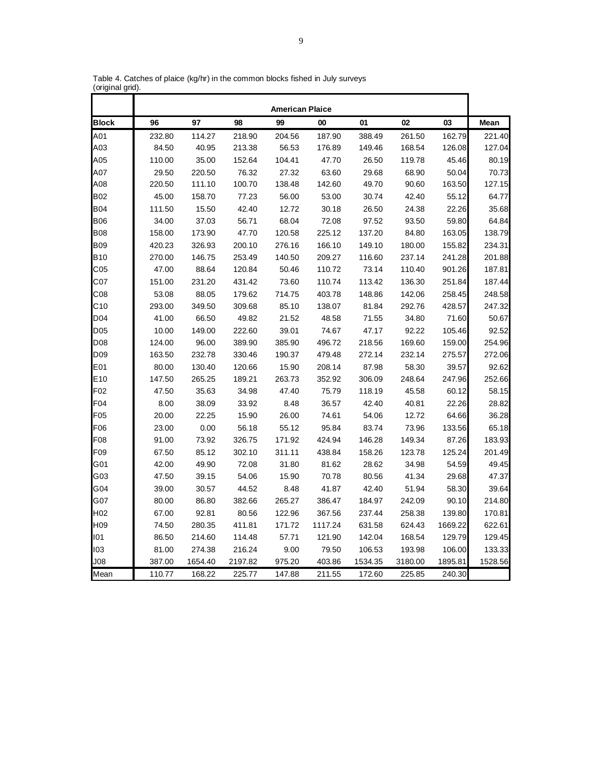|                 |        |         |         | <b>American Plaice</b> |         |         |         |         |         |
|-----------------|--------|---------|---------|------------------------|---------|---------|---------|---------|---------|
| <b>Block</b>    | 96     | 97      | 98      | 99                     | 00      | 01      | 02      | 03      | Mean    |
| A01             | 232.80 | 114.27  | 218.90  | 204.56                 | 187.90  | 388.49  | 261.50  | 162.79  | 221.40  |
| A03             | 84.50  | 40.95   | 213.38  | 56.53                  | 176.89  | 149.46  | 168.54  | 126.08  | 127.04  |
| A05             | 110.00 | 35.00   | 152.64  | 104.41                 | 47.70   | 26.50   | 119.78  | 45.46   | 80.19   |
| A07             | 29.50  | 220.50  | 76.32   | 27.32                  | 63.60   | 29.68   | 68.90   | 50.04   | 70.73   |
| A08             | 220.50 | 111.10  | 100.70  | 138.48                 | 142.60  | 49.70   | 90.60   | 163.50  | 127.15  |
| <b>B02</b>      | 45.00  | 158.70  | 77.23   | 56.00                  | 53.00   | 30.74   | 42.40   | 55.12   | 64.77   |
| <b>B04</b>      | 111.50 | 15.50   | 42.40   | 12.72                  | 30.18   | 26.50   | 24.38   | 22.26   | 35.68   |
| <b>B06</b>      | 34.00  | 37.03   | 56.71   | 68.04                  | 72.08   | 97.52   | 93.50   | 59.80   | 64.84   |
| <b>B08</b>      | 158.00 | 173.90  | 47.70   | 120.58                 | 225.12  | 137.20  | 84.80   | 163.05  | 138.79  |
| <b>B09</b>      | 420.23 | 326.93  | 200.10  | 276.16                 | 166.10  | 149.10  | 180.00  | 155.82  | 234.31  |
| <b>B10</b>      | 270.00 | 146.75  | 253.49  | 140.50                 | 209.27  | 116.60  | 237.14  | 241.28  | 201.88  |
| C <sub>05</sub> | 47.00  | 88.64   | 120.84  | 50.46                  | 110.72  | 73.14   | 110.40  | 901.26  | 187.81  |
| C07             | 151.00 | 231.20  | 431.42  | 73.60                  | 110.74  | 113.42  | 136.30  | 251.84  | 187.44  |
| C <sub>08</sub> | 53.08  | 88.05   | 179.62  | 714.75                 | 403.78  | 148.86  | 142.06  | 258.45  | 248.58  |
| C10             | 293.00 | 349.50  | 309.68  | 85.10                  | 138.07  | 81.84   | 292.76  | 428.57  | 247.32  |
| D04             | 41.00  | 66.50   | 49.82   | 21.52                  | 48.58   | 71.55   | 34.80   | 71.60   | 50.67   |
| D <sub>05</sub> | 10.00  | 149.00  | 222.60  | 39.01                  | 74.67   | 47.17   | 92.22   | 105.46  | 92.52   |
| D <sub>08</sub> | 124.00 | 96.00   | 389.90  | 385.90                 | 496.72  | 218.56  | 169.60  | 159.00  | 254.96  |
| D <sub>09</sub> | 163.50 | 232.78  | 330.46  | 190.37                 | 479.48  | 272.14  | 232.14  | 275.57  | 272.06  |
| E01             | 80.00  | 130.40  | 120.66  | 15.90                  | 208.14  | 87.98   | 58.30   | 39.57   | 92.62   |
| E10             | 147.50 | 265.25  | 189.21  | 263.73                 | 352.92  | 306.09  | 248.64  | 247.96  | 252.66  |
| F <sub>02</sub> | 47.50  | 35.63   | 34.98   | 47.40                  | 75.79   | 118.19  | 45.58   | 60.12   | 58.15   |
| F04             | 8.00   | 38.09   | 33.92   | 8.48                   | 36.57   | 42.40   | 40.81   | 22.26   | 28.82   |
| F <sub>05</sub> | 20.00  | 22.25   | 15.90   | 26.00                  | 74.61   | 54.06   | 12.72   | 64.66   | 36.28   |
| F06             | 23.00  | 0.00    | 56.18   | 55.12                  | 95.84   | 83.74   | 73.96   | 133.56  | 65.18   |
| F08             | 91.00  | 73.92   | 326.75  | 171.92                 | 424.94  | 146.28  | 149.34  | 87.26   | 183.93  |
| F <sub>09</sub> | 67.50  | 85.12   | 302.10  | 311.11                 | 438.84  | 158.26  | 123.78  | 125.24  | 201.49  |
| G01             | 42.00  | 49.90   | 72.08   | 31.80                  | 81.62   | 28.62   | 34.98   | 54.59   | 49.45   |
| G03             | 47.50  | 39.15   | 54.06   | 15.90                  | 70.78   | 80.56   | 41.34   | 29.68   | 47.37   |
| G04             | 39.00  | 30.57   | 44.52   | 8.48                   | 41.87   | 42.40   | 51.94   | 58.30   | 39.64   |
| G07             | 80.00  | 86.80   | 382.66  | 265.27                 | 386.47  | 184.97  | 242.09  | 90.10   | 214.80  |
| H <sub>02</sub> | 67.00  | 92.81   | 80.56   | 122.96                 | 367.56  | 237.44  | 258.38  | 139.80  | 170.81  |
| H <sub>09</sub> | 74.50  | 280.35  | 411.81  | 171.72                 | 1117.24 | 631.58  | 624.43  | 1669.22 | 622.61  |
| 101             | 86.50  | 214.60  | 114.48  | 57.71                  | 121.90  | 142.04  | 168.54  | 129.79  | 129.45  |
| 103             | 81.00  | 274.38  | 216.24  | 9.00                   | 79.50   | 106.53  | 193.98  | 106.00  | 133.33  |
| $_{\rm J08}$    | 387.00 | 1654.40 | 2197.82 | 975.20                 | 403.86  | 1534.35 | 3180.00 | 1895.81 | 1528.56 |
| Mean            | 110.77 | 168.22  | 225.77  | 147.88                 | 211.55  | 172.60  | 225.85  | 240.30  |         |

Table 4. Catches of plaice (kg/hr) in the common blocks fished in July surveys (original grid).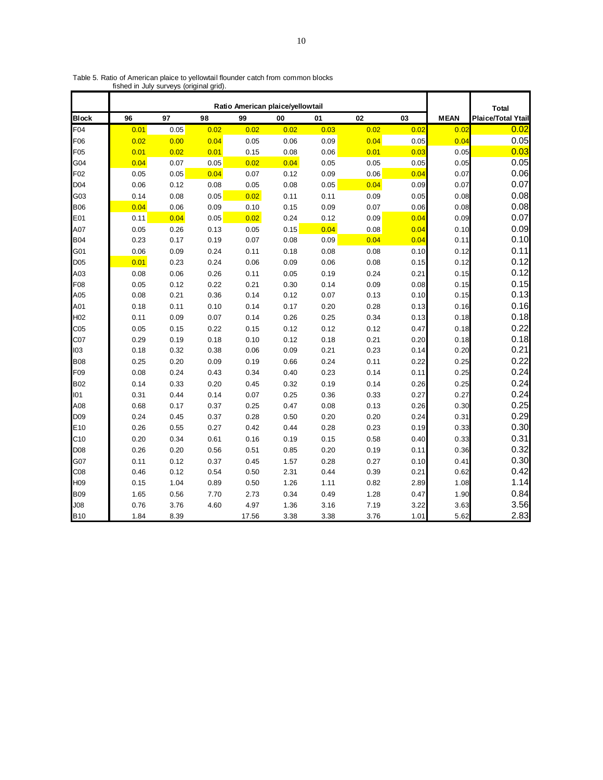|                 |      |      |      |       | Ratio American plaice/yellowtail |      |      |      |             | <b>Total</b>              |
|-----------------|------|------|------|-------|----------------------------------|------|------|------|-------------|---------------------------|
| <b>Block</b>    | 96   | 97   | 98   | 99    | 00                               | 01   | 02   | 03   | <b>MEAN</b> | <b>Plaice/Total Ytail</b> |
| F04             | 0.01 | 0.05 | 0.02 | 0.02  | 0.02                             | 0.03 | 0.02 | 0.02 | 0.02        | 0.02                      |
| F06             | 0.02 | 0.00 | 0.04 | 0.05  | 0.06                             | 0.09 | 0.04 | 0.05 | 0.04        | 0.05                      |
| F05             | 0.01 | 0.02 | 0.01 | 0.15  | 0.08                             | 0.06 | 0.01 | 0.03 | 0.05        | 0.03                      |
| G04             | 0.04 | 0.07 | 0.05 | 0.02  | 0.04                             | 0.05 | 0.05 | 0.05 | 0.05        | 0.05                      |
| F <sub>02</sub> | 0.05 | 0.05 | 0.04 | 0.07  | 0.12                             | 0.09 | 0.06 | 0.04 | 0.07        | 0.06                      |
| D <sub>04</sub> | 0.06 | 0.12 | 0.08 | 0.05  | 0.08                             | 0.05 | 0.04 | 0.09 | 0.07        | 0.07                      |
| G03             | 0.14 | 0.08 | 0.05 | 0.02  | 0.11                             | 0.11 | 0.09 | 0.05 | 0.08        | 0.08                      |
| <b>B06</b>      | 0.04 | 0.06 | 0.09 | 0.10  | 0.15                             | 0.09 | 0.07 | 0.06 | 0.08        | 0.08                      |
| E01             | 0.11 | 0.04 | 0.05 | 0.02  | 0.24                             | 0.12 | 0.09 | 0.04 | 0.09        | 0.07                      |
| A07             | 0.05 | 0.26 | 0.13 | 0.05  | 0.15                             | 0.04 | 0.08 | 0.04 | 0.10        | 0.09                      |
| <b>B04</b>      | 0.23 | 0.17 | 0.19 | 0.07  | 0.08                             | 0.09 | 0.04 | 0.04 | 0.11        | 0.10                      |
| G01             | 0.06 | 0.09 | 0.24 | 0.11  | 0.18                             | 0.08 | 0.08 | 0.10 | 0.12        | 0.11                      |
| D <sub>05</sub> | 0.01 | 0.23 | 0.24 | 0.06  | 0.09                             | 0.06 | 0.08 | 0.15 | 0.12        | 0.12                      |
| A03             | 0.08 | 0.06 | 0.26 | 0.11  | 0.05                             | 0.19 | 0.24 | 0.21 | 0.15        | 0.12                      |
| F08             | 0.05 | 0.12 | 0.22 | 0.21  | 0.30                             | 0.14 | 0.09 | 0.08 | 0.15        | 0.15                      |
| A05             | 0.08 | 0.21 | 0.36 | 0.14  | 0.12                             | 0.07 | 0.13 | 0.10 | 0.15        | 0.13                      |
| A01             | 0.18 | 0.11 | 0.10 | 0.14  | 0.17                             | 0.20 | 0.28 | 0.13 | 0.16        | 0.16                      |
| H <sub>02</sub> | 0.11 | 0.09 | 0.07 | 0.14  | 0.26                             | 0.25 | 0.34 | 0.13 | 0.18        | 0.18                      |
| C05             | 0.05 | 0.15 | 0.22 | 0.15  | 0.12                             | 0.12 | 0.12 | 0.47 | 0.18        | 0.22                      |
| C07             | 0.29 | 0.19 | 0.18 | 0.10  | 0.12                             | 0.18 | 0.21 | 0.20 | 0.18        | 0.18                      |
| 103             | 0.18 | 0.32 | 0.38 | 0.06  | 0.09                             | 0.21 | 0.23 | 0.14 | 0.20        | 0.21                      |
| <b>B08</b>      | 0.25 | 0.20 | 0.09 | 0.19  | 0.66                             | 0.24 | 0.11 | 0.22 | 0.25        | 0.22                      |
| F <sub>09</sub> | 0.08 | 0.24 | 0.43 | 0.34  | 0.40                             | 0.23 | 0.14 | 0.11 | 0.25        | 0.24                      |
| <b>B02</b>      | 0.14 | 0.33 | 0.20 | 0.45  | 0.32                             | 0.19 | 0.14 | 0.26 | 0.25        | 0.24                      |
| 101             | 0.31 | 0.44 | 0.14 | 0.07  | 0.25                             | 0.36 | 0.33 | 0.27 | 0.27        | 0.24                      |
| A08             | 0.68 | 0.17 | 0.37 | 0.25  | 0.47                             | 0.08 | 0.13 | 0.26 | 0.30        | 0.25                      |
| D <sub>09</sub> | 0.24 | 0.45 | 0.37 | 0.28  | 0.50                             | 0.20 | 0.20 | 0.24 | 0.31        | 0.29                      |
| E <sub>10</sub> | 0.26 | 0.55 | 0.27 | 0.42  | 0.44                             | 0.28 | 0.23 | 0.19 | 0.33        | 0.30                      |
| C10             | 0.20 | 0.34 | 0.61 | 0.16  | 0.19                             | 0.15 | 0.58 | 0.40 | 0.33        | 0.31                      |
| D <sub>08</sub> | 0.26 | 0.20 | 0.56 | 0.51  | 0.85                             | 0.20 | 0.19 | 0.11 | 0.36        | 0.32                      |
| G07             | 0.11 | 0.12 | 0.37 | 0.45  | 1.57                             | 0.28 | 0.27 | 0.10 | 0.41        | 0.30                      |
| C <sub>08</sub> | 0.46 | 0.12 | 0.54 | 0.50  | 2.31                             | 0.44 | 0.39 | 0.21 | 0.62        | 0.42                      |
| H <sub>09</sub> | 0.15 | 1.04 | 0.89 | 0.50  | 1.26                             | 1.11 | 0.82 | 2.89 | 1.08        | 1.14                      |
| <b>B09</b>      | 1.65 | 0.56 | 7.70 | 2.73  | 0.34                             | 0.49 | 1.28 | 0.47 | 1.90        | 0.84                      |
| J <sub>08</sub> | 0.76 | 3.76 | 4.60 | 4.97  | 1.36                             | 3.16 | 7.19 | 3.22 | 3.63        | 3.56                      |
| <b>B10</b>      | 1.84 | 8.39 |      | 17.56 | 3.38                             | 3.38 | 3.76 | 1.01 | 5.62        | 2.83                      |

Table 5. Ratio of American plaice to yellowtail flounder catch from common blocks fished in July surveys (original grid).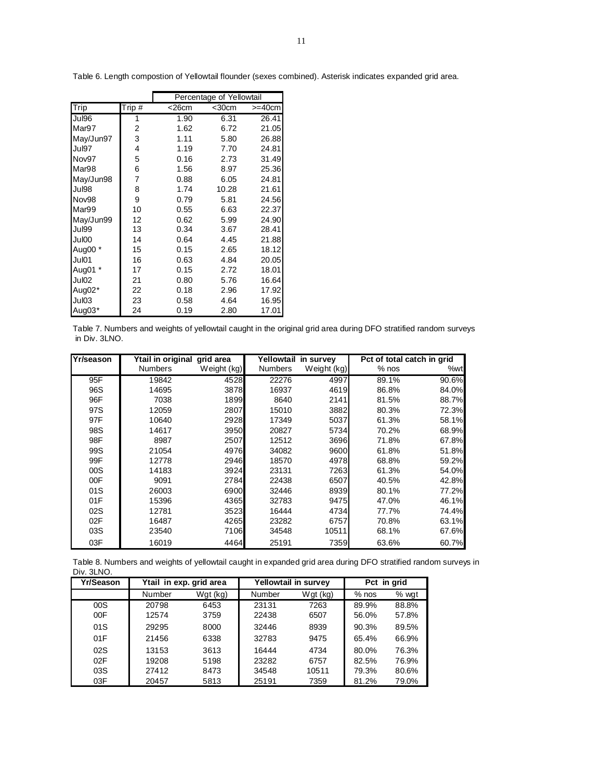|           |                           | Percentage of Yellowtail |             |              |  |  |  |  |
|-----------|---------------------------|--------------------------|-------------|--------------|--|--|--|--|
| Trip      | $\overline{\text{Tip}}$ # | $<$ 26 $cm$              | $<$ 30 $cm$ | $>=$ 40 $cm$ |  |  |  |  |
| Jul96     | 1                         | 1.90                     | 6.31        | 26.41        |  |  |  |  |
| Mar97     | 2                         | 1.62                     | 6.72        | 21.05        |  |  |  |  |
| May/Jun97 | 3                         | 1.11                     | 5.80        | 26.88        |  |  |  |  |
| Jul97     | 4                         | 1.19                     | 7.70        | 24.81        |  |  |  |  |
| Nov97     | 5                         | 0.16                     | 2.73        | 31.49        |  |  |  |  |
| Mar98     | 6                         | 1.56                     | 8.97        | 25.36        |  |  |  |  |
| May/Jun98 | 7                         | 0.88                     | 6.05        | 24.81        |  |  |  |  |
| Jul98     | 8                         | 1.74                     | 10.28       | 21.61        |  |  |  |  |
| Nov98     | 9                         | 0.79                     | 5.81        | 24.56        |  |  |  |  |
| Mar99     | 10                        | 0.55                     | 6.63        | 22.37        |  |  |  |  |
| May/Jun99 | 12                        | 0.62                     | 5.99        | 24.90        |  |  |  |  |
| Jul99     | 13                        | 0.34                     | 3.67        | 28.41        |  |  |  |  |
| Jul00     | 14                        | 0.64                     | 4.45        | 21.88        |  |  |  |  |
| Aug00 *   | 15                        | 0.15                     | 2.65        | 18.12        |  |  |  |  |
| Jul01     | 16                        | 0.63                     | 4.84        | 20.05        |  |  |  |  |
| Aug01 *   | 17                        | 0.15                     | 2.72        | 18.01        |  |  |  |  |
| Jul02     | 21                        | 0.80                     | 5.76        | 16.64        |  |  |  |  |
| Aug02*    | 22                        | 0.18                     | 2.96        | 17.92        |  |  |  |  |
| Jul03     | 23                        | 0.58                     | 4.64        | 16.95        |  |  |  |  |
| Aug03*    | 24                        | 0.19                     | 2.80        | 17.01        |  |  |  |  |

Table 6. Length compostion of Yellowtail flounder (sexes combined). Asterisk indicates expanded grid area.

Table 7. Numbers and weights of yellowtail caught in the original grid area during DFO stratified random surveys in Div. 3LNO.

| <b>Yr/season</b> | Ytail in original grid area |             | Yellowtail in survey |             | Pct of total catch in grid |       |  |
|------------------|-----------------------------|-------------|----------------------|-------------|----------------------------|-------|--|
|                  | <b>Numbers</b>              | Weight (kg) | <b>Numbers</b>       | Weight (kg) | $%$ nos                    | %wt   |  |
| 95F              | 19842                       | 4528        | 22276                | 4997        | 89.1%                      | 90.6% |  |
| 96S              | 14695                       | 3878        | 16937                | 4619        | 86.8%                      | 84.0% |  |
| 96F              | 7038                        | 1899        | 8640                 | 2141        | 81.5%                      | 88.7% |  |
| 97S              | 12059                       | 2807        | 15010                | 3882        | 80.3%                      | 72.3% |  |
| 97F              | 10640                       | 2928        | 17349                | 5037        | 61.3%                      | 58.1% |  |
| 98S              | 14617                       | 3950        | 20827                | 5734        | 70.2%                      | 68.9% |  |
| 98F              | 8987                        | 2507        | 12512                | 3696        | 71.8%                      | 67.8% |  |
| 99S              | 21054                       | 4976        | 34082                | 9600        | 61.8%                      | 51.8% |  |
| 99F              | 12778                       | 2946        | 18570                | 4978        | 68.8%                      | 59.2% |  |
| 00S              | 14183                       | 3924        | 23131                | 7263        | 61.3%                      | 54.0% |  |
| 00F              | 9091                        | 2784        | 22438                | 6507        | 40.5%                      | 42.8% |  |
| 01S              | 26003                       | 6900        | 32446                | 8939        | 80.1%                      | 77.2% |  |
| 01F              | 15396                       | 4365        | 32783                | 9475        | 47.0%                      | 46.1% |  |
| 02S              | 12781                       | 3523        | 16444                | 4734        | 77.7%                      | 74.4% |  |
| 02F              | 16487                       | 4265        | 23282                | 6757        | 70.8%                      | 63.1% |  |
| 03S              | 23540                       | 7106        | 34548                | 10511       | 68.1%                      | 67.6% |  |
| 03F              | 16019                       | 4464        | 25191                | 7359        | 63.6%                      | 60.7% |  |

Table 8. Numbers and weights of yellowtail caught in expanded grid area during DFO stratified random surveys in Div. 3LNO.

| Yr/Season |        | Ytail in exp. grid area |        | Yellowtail in survey | Pct in grid |       |  |
|-----------|--------|-------------------------|--------|----------------------|-------------|-------|--|
|           | Number | Wgt (kg)                | Number | Wgt (kg)             | $%$ nos     | % wgt |  |
| 00S       | 20798  | 6453                    | 23131  | 7263                 | 89.9%       | 88.8% |  |
| 00F       | 12574  | 3759                    | 22438  | 6507                 | 56.0%       | 57.8% |  |
| 01S       | 29295  | 8000                    | 32446  | 8939                 | 90.3%       | 89.5% |  |
| 01F       | 21456  | 6338                    | 32783  | 9475                 | 65.4%       | 66.9% |  |
| 02S       | 13153  | 3613                    | 16444  | 4734                 | 80.0%       | 76.3% |  |
| 02F       | 19208  | 5198                    | 23282  | 6757                 | 82.5%       | 76.9% |  |
| 03S       | 27412  | 8473                    | 34548  | 10511                | 79.3%       | 80.6% |  |
| 03F       | 20457  | 5813                    | 25191  | 7359                 | 81.2%       | 79.0% |  |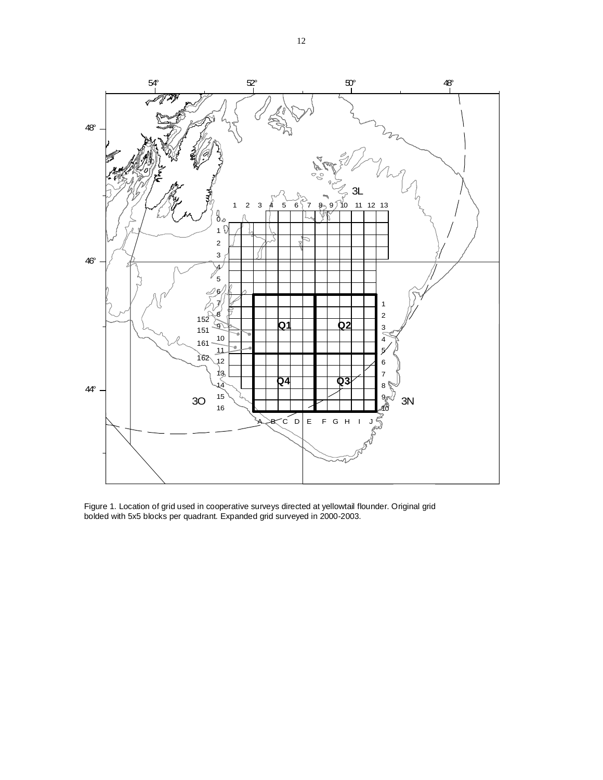

Figure 1. Location of grid used in cooperative surveys directed at yellowtail flounder. Original grid bolded with 5x5 blocks per quadrant. Expanded grid surveyed in 2000-2003.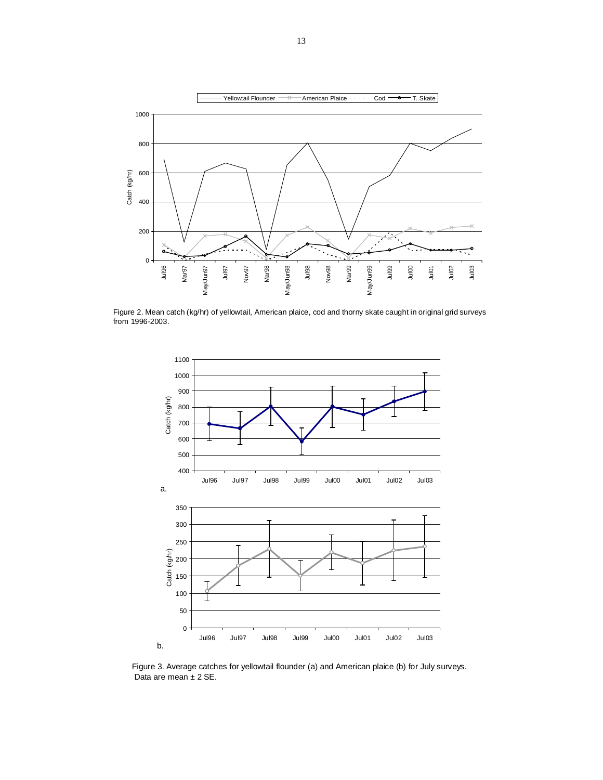

Figure 2. Mean catch (kg/hr) of yellowtail, American plaice, cod and thorny skate caught in original grid surveys from 1996-2003.



Figure 3. Average catches for yellowtail flounder (a) and American plaice (b) for July surveys. Data are mean  $\pm$  2 SE.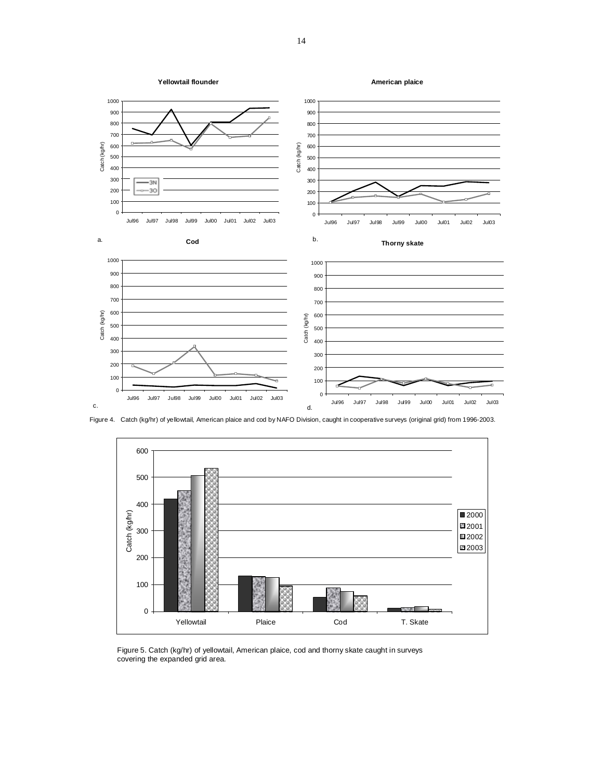

Figure 4. Catch (kg/hr) of yellowtail, American plaice and cod by NAFO Division, caught in cooperative surveys (original grid) from 1996-2003.



Figure 5. Catch (kg/hr) of yellowtail, American plaice, cod and thorny skate caught in surveys covering the expanded grid area.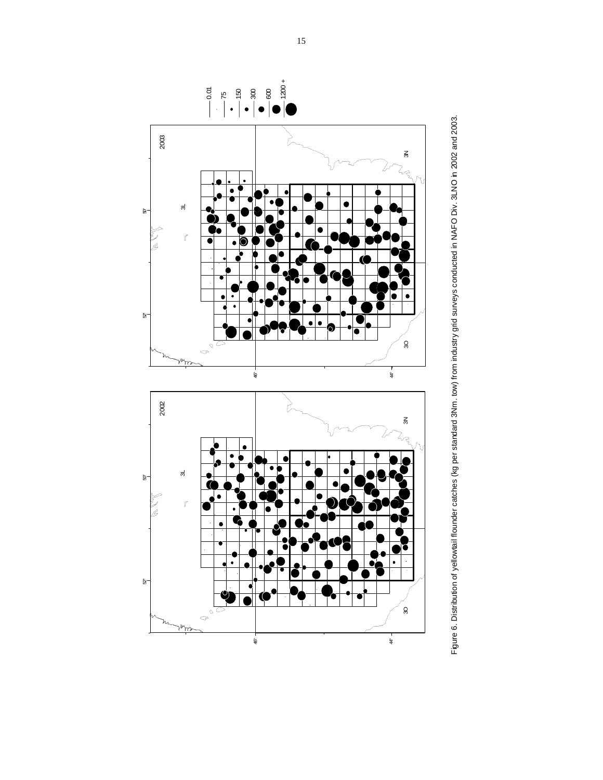

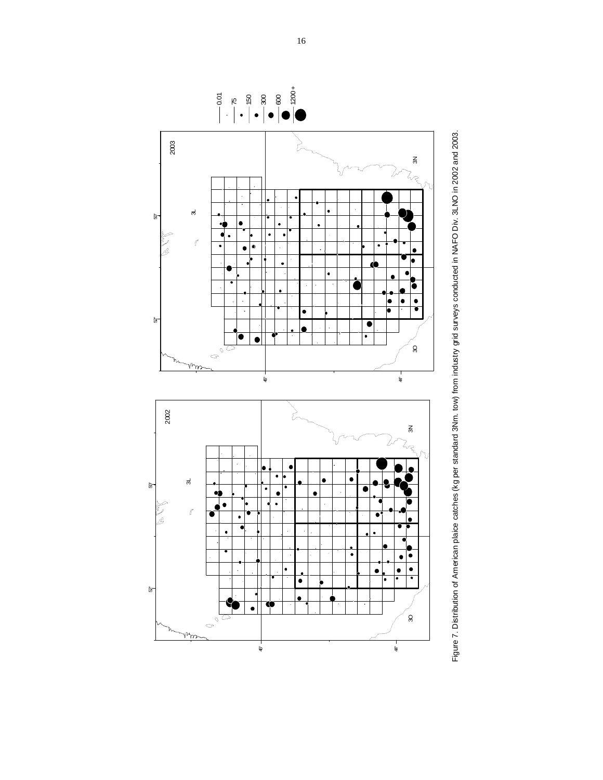

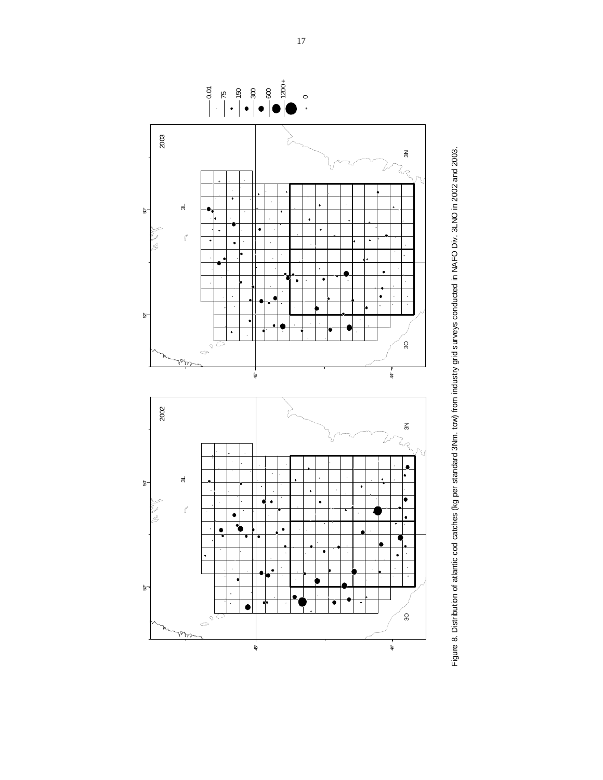

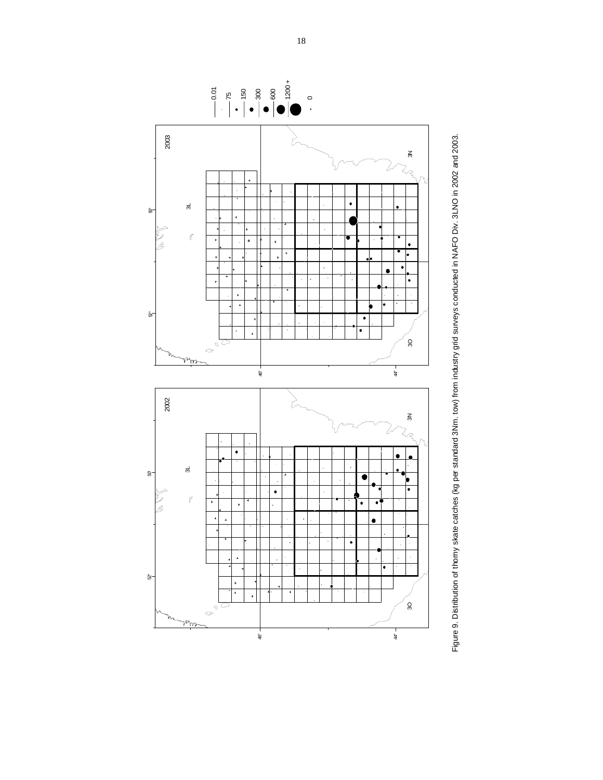

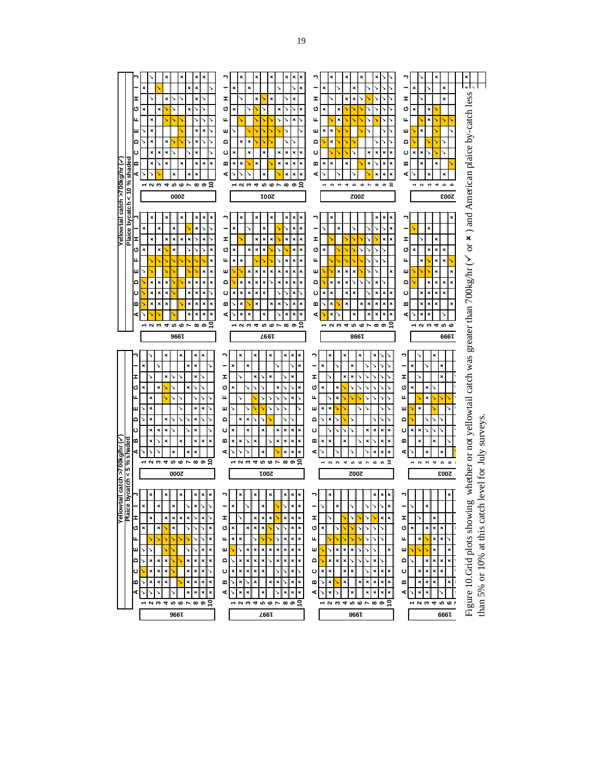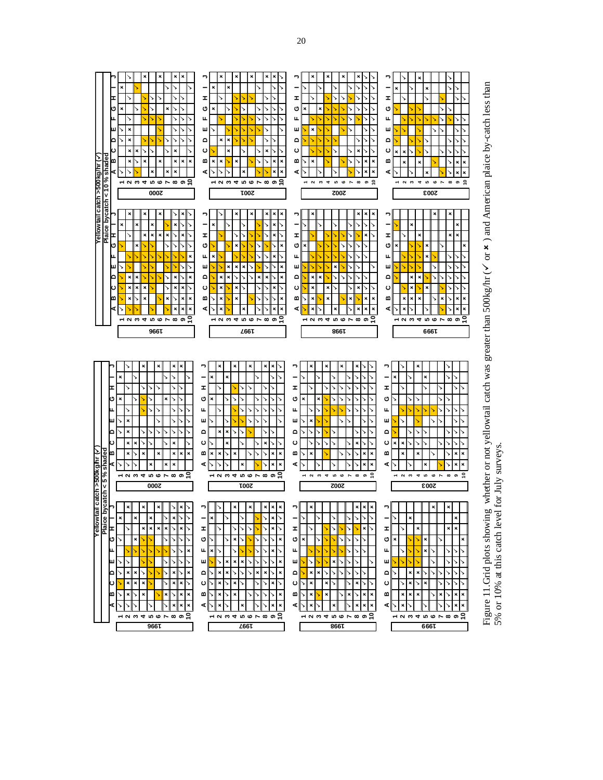

**1997 1998**

Г



 $\mathsf{r}$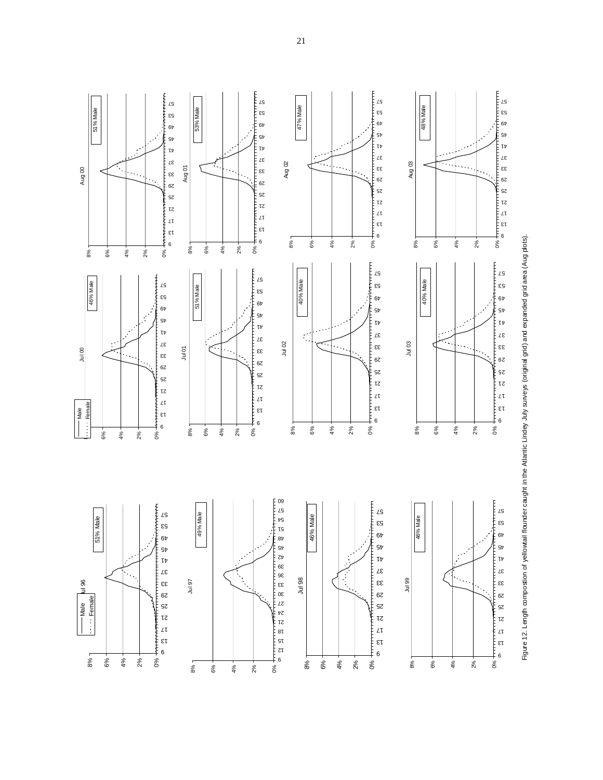

Figure 12. Length compositon of yellowtail flounder caught in the Atlantic Lindey July surveys (original grid) and expanded grid area (Aug plots). Figure 12. Length compostion of yellowtail flounder caught in the Atlantic Lindey July surveys (original grid) and expanded grid area (Aug plots).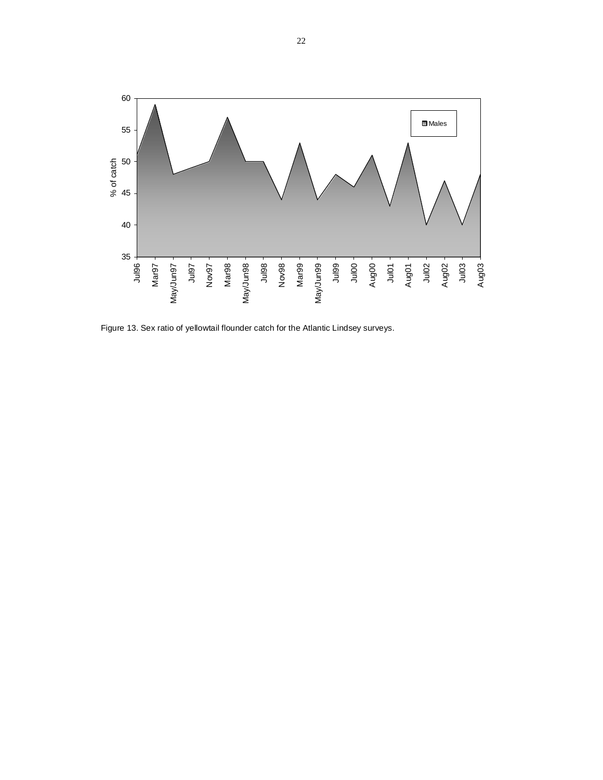

Figure 13. Sex ratio of yellowtail flounder catch for the Atlantic Lindsey surveys.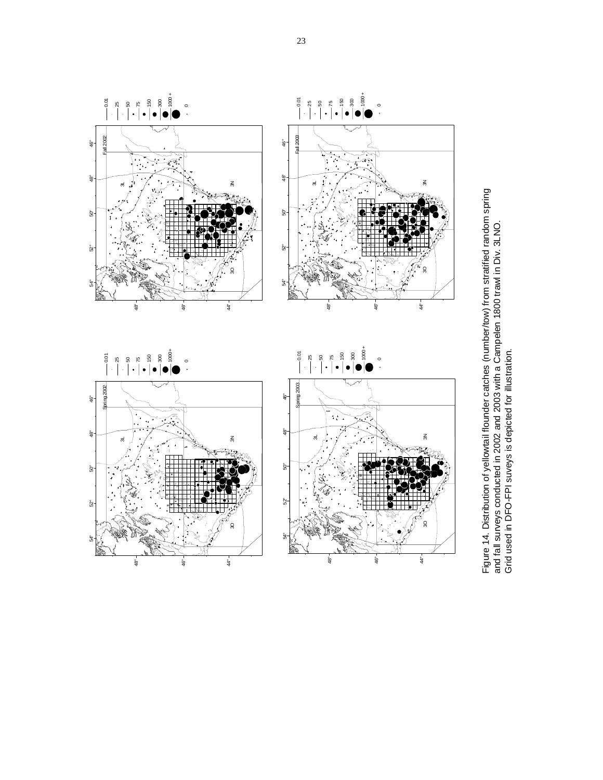

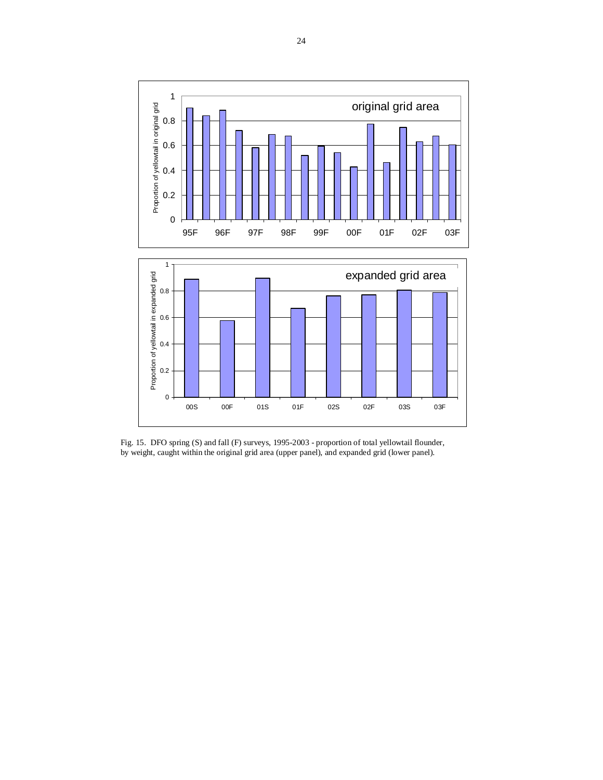

Fig. 15. DFO spring (S) and fall (F) surveys, 1995-2003 - proportion of total yellowtail flounder, by weight, caught within the original grid area (upper panel), and expanded grid (lower panel).